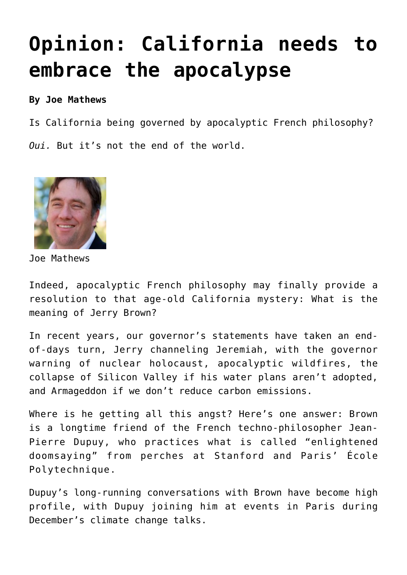## **[Opinion: California needs to](https://www.laketahoenews.net/2016/02/107686/) [embrace the apocalypse](https://www.laketahoenews.net/2016/02/107686/)**

## **By Joe Mathews**

Is California being governed by apocalyptic French philosophy? *Oui.* But it's not the end of the world.



Joe Mathews

Indeed, apocalyptic French philosophy may finally provide a resolution to that age-old California mystery: What is the meaning of Jerry Brown?

In recent years, our governor's statements have taken an endof-days turn, Jerry channeling Jeremiah, with the governor warning of nuclear holocaust, apocalyptic wildfires, the collapse of Silicon Valley if his water plans aren't adopted, and Armageddon if we don't reduce carbon emissions.

Where is he getting all this angst? Here's one answer: Brown is a longtime friend of the French techno-philosopher Jean-Pierre Dupuy, who practices what is called "enlightened doomsaying" from perches at Stanford and Paris' École Polytechnique.

Dupuy's long-running conversations with Brown have become high profile, with Dupuy joining him at events in Paris during December's climate change talks.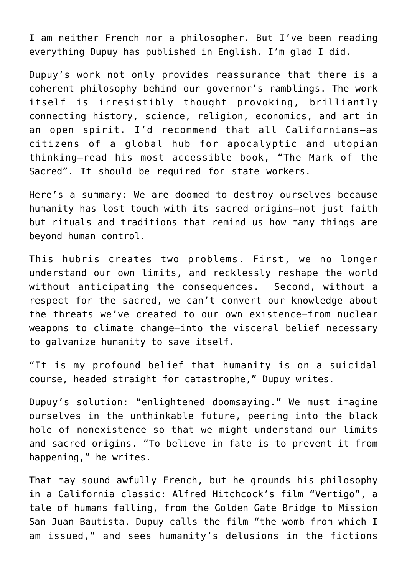I am neither French nor a philosopher. But I've been reading everything Dupuy has published in English. I'm glad I did.

Dupuy's work not only provides reassurance that there is a coherent philosophy behind our governor's ramblings. The work itself is irresistibly thought provoking, brilliantly connecting history, science, religion, economics, and art in an open spirit. I'd recommend that all Californians—as citizens of a global hub for apocalyptic and utopian thinking—read his most accessible book, "The Mark of the Sacred". It should be required for state workers.

Here's a summary: We are doomed to destroy ourselves because humanity has lost touch with its sacred origins—not just faith but rituals and traditions that remind us how many things are beyond human control.

This hubris creates two problems. First, we no longer understand our own limits, and recklessly reshape the world without anticipating the consequences. Second, without a respect for the sacred, we can't convert our knowledge about the threats we've created to our own existence—from nuclear weapons to climate change—into the visceral belief necessary to galvanize humanity to save itself.

"It is my profound belief that humanity is on a suicidal course, headed straight for catastrophe," Dupuy writes.

Dupuy's solution: "enlightened doomsaying." We must imagine ourselves in the unthinkable future, peering into the black hole of nonexistence so that we might understand our limits and sacred origins. "To believe in fate is to prevent it from happening," he writes.

That may sound awfully French, but he grounds his philosophy in a California classic: Alfred Hitchcock's film "Vertigo", a tale of humans falling, from the Golden Gate Bridge to Mission San Juan Bautista. Dupuy calls the film "the womb from which I am issued," and sees humanity's delusions in the fictions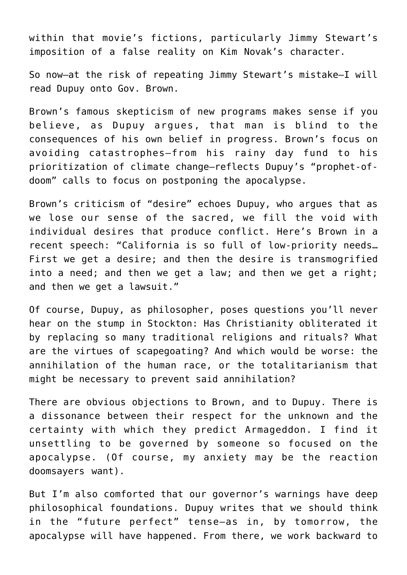within that movie's fictions, particularly Jimmy Stewart's imposition of a false reality on Kim Novak's character.

So now—at the risk of repeating Jimmy Stewart's mistake—I will read Dupuy onto Gov. Brown.

Brown's famous skepticism of new programs makes sense if you believe, as Dupuy argues, that man is blind to the consequences of his own belief in progress. Brown's focus on avoiding catastrophes—from his rainy day fund to his prioritization of climate change—reflects Dupuy's "prophet-ofdoom" calls to focus on postponing the apocalypse.

Brown's criticism of "desire" echoes Dupuy, who argues that as we lose our sense of the sacred, we fill the void with individual desires that produce conflict. Here's Brown in a recent speech: "California is so full of low-priority needs… First we get a desire; and then the desire is transmogrified into a need; and then we get a law; and then we get a right; and then we get a lawsuit."

Of course, Dupuy, as philosopher, poses questions you'll never hear on the stump in Stockton: Has Christianity obliterated it by replacing so many traditional religions and rituals? What are the virtues of scapegoating? And which would be worse: the annihilation of the human race, or the totalitarianism that might be necessary to prevent said annihilation?

There are obvious objections to Brown, and to Dupuy. There is a dissonance between their respect for the unknown and the certainty with which they predict Armageddon. I find it unsettling to be governed by someone so focused on the apocalypse. (Of course, my anxiety may be the reaction doomsayers want).

But I'm also comforted that our governor's warnings have deep philosophical foundations. Dupuy writes that we should think in the "future perfect" tense—as in, by tomorrow, the apocalypse will have happened. From there, we work backward to